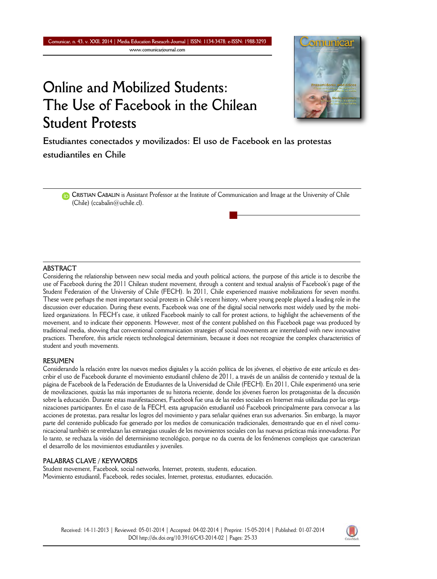# **Online and Mobilized Students: The Use of Facebook in the Chilean Student Protests**



**Estudiantes conectados y movilizados: El uso de Facebook en las protestas estudiantiles en Chile**

**CRISTIAN** CABALIN is Assistant Professor at the Institute of Communication and Image at the University of Chile (Chile) (ccabalin@uchile.cl).

# **ABSTRACT**

Considering the relationship between new social media and youth political actions, the purpose of this article is to describe the use of Facebook during the 2011 Chilean student movement, through a content and textual analysis of Facebook's page of the Student Federation of the University of Chile (FECH). In 2011, Chile experienced massive mobilizations for seven months. These were perhaps the most important social protests in Chile's recent history, where young people played a leading role in the discussion over education. During these events, Facebook was one of the digital social networks most widely used by the mobilized organizations. In FECH's case, it utilized Facebook mainly to call for protest actions, to highlight the achievements of the movement, and to indicate their opponents. However, most of the content published on this Facebook page was produced by traditional media, showing that conventional communication strategies of social movements are interrelated with new innovative practices. Therefore, this article rejects technological determinism, because it does not recognize the complex characteristics of student and youth movements.

## **RESUMEN**

Considerando la relación entre los nuevos medios digitales y la acción política de los jóvenes, el objetivo de este artículo es describir el uso de Facebook durante el movimiento estudiantil chileno de 2011, a través de un análisis de contenido y textual de la página de Facebook de la Federación de Estudiantes de la Universidad de Chile (FECH). En 2011, Chile experimentó una serie de movilizaciones, quizás las más importantes de su historia reciente, donde los jóvenes fueron los protagonistas de la discusión sobre la educación. Durante estas manifestaciones, Facebook fue una de las redes sociales en Internet más utilizadas por las organizaciones participantes. En el caso de la FECH, esta agrupación estudiantil usó Facebook principalmente para convocar a las acciones de protestas, para resaltar los logros del movimiento y para señalar quiénes eran sus adversarios. Sin embargo, la mayor parte del contenido publicado fue generado por los medios de comunicación tradicionales, demostrando que en el nivel comunicacional también se entrelazan las estrategias usuales de los movimientos sociales con las nuevas prácticas más innovadoras. Por lo tanto, se rechaza la visión del determinismo tecnológico, porque no da cuenta de los fenómenos complejos que caracterizan el desarrollo de los movimientos estudiantiles y juveniles.

## **PALABRAS CLAVE / KEYWORDS**

Student movement, Facebook, social networks, Internet, protests, students, education. Movimiento estudiantil, Facebook, redes sociales, Internet, protestas, estudiantes, educación.

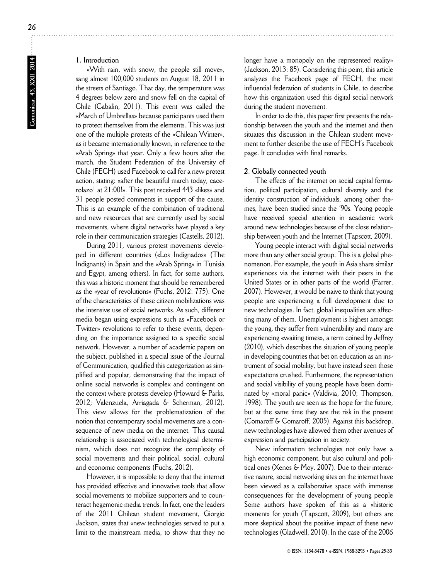# **1. Introduction**

«With rain, with snow, the people still move», sang almost 100,000 students on August 18, 2011 in the streets of Santiago. That day, the temperature was 4 degrees below zero and snow fell on the capital of Chile (Cabalin, 2011). This event was called the «March of Umbrellas» because participants used them to protect themselves from the elements. This was just one of the multiple protests of the «Chilean Winter», as it became internationally known, in reference to the «Arab Spring» that year. Only a few hours after the march, the Student Federation of the University of Chile (FECH) used Facebook to call for a new protest action, stating: «after the beautiful march today, cacerolazo1 at 21:00!». This post received 443 «likes» and 31 people posted comments in support of the cause. This is an example of the combination of traditional and new resources that are currently used by social movements, where digital networks have played a key role in their communication strategies (Castells, 2012).

During 2011, various protest movements developed in different countries («Los Indignados» (The Indignants) in Spain and the «Arab Spring» in Tunisia and Egypt, among others). In fact, for some authors, this was a historic moment that should be remembered as the «year of revolutions» (Fuchs, 2012: 775). One of the characteristics of these citizen mobilizations was the intensive use of social networks. As such, different media began using expressions such as «Facebook or Twitter» revolutions to refer to these events, depending on the importance assigned to a specific social network. However, a number of academic papers on the subject, published in a special issue of the Journal of Communication, qualified this categorization as simplified and popular, demonstrating that the impact of online social networks is complex and contingent on the context where protests develop (Howard & Parks, 2012; Valenzuela, Arriagada & Scherman, 2012). This view allows for the problematization of the notion that contemporary social movements are a consequence of new media on the internet. This causal relationship is associated with technological determinism, which does not recognize the complexity of social movements and their political, social, cultural and economic components (Fuchs, 2012).

However, it is impossible to deny that the internet has provided effective and innovative tools that allow social movements to mobilize supporters and to counteract hegemonic media trends. In fact, one the leaders of the 2011 Chilean student movement, Giorgio Jackson, states that «new technologies served to put a limit to the mainstream media, to show that they no

longer have a monopoly on the represented reality» (Jackson, 2013: 85). Considering this point, this article analyzes the Facebook page of FECH, the most influential federation of students in Chile, to describe how this organization used this digital social network during the student movement.

In order to do this, this paper first presents the relationship between the youth and the internet and then situates this discussion in the Chilean student movement to further describe the use of FECH's Facebook page. It concludes with final remarks.

### **2. Globally connected youth**

The effects of the internet on social capital formation, political participation, cultural diversity and the identity construction of individuals, among other themes, have been studied since the '90s. Young people have received special attention in academic work around new technologies because of the close relationship between youth and the Internet (Tapscott, 2009).

Young people interact with digital social networks more than any other social group. This is a global phenomenon. For example, the youth in Asia share similar experiences via the internet with their peers in the United States or in other parts of the world (Farrer, 2007). However, it would be naive to think that young people are experiencing a full development due to new technologies. In fact, global inequalities are affecting many of them. Unemployment is highest amongst the young, they suffer from vulnerability and many are experiencing «waiting times», a term coined by Jeffrey (2010), which describes the situation of young people in developing countries that bet on education as an instrument of social mobility, but have instead seen those expectations crushed. Furthermore, the representation and social visibility of young people have been dominated by «moral panic» (Valdivia, 2010; Thompson, 1998). The youth are seen as the hope for the future, but at the same time they are the risk in the present (Comaroff & Comaroff, 2005). Against this backdrop, new technologies have allowed them other avenues of expression and participation in society.

New information technologies not only have a high economic component, but also cultural and political ones (Xenos & Moy, 2007). Due to their interactive nature, social networking sites on the internet have been viewed as a collaborative space with immense consequences for the development of young people Some authors have spoken of this as a «historic moment» for youth (Tapscott, 2009), but others are more skeptical about the positive impact of these new technologies (Gladwell, 2010). In the case of the 2006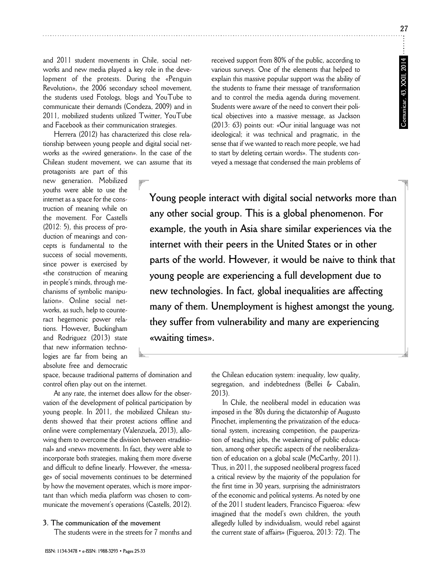and 2011 student movements in Chile, social networks and new media played a key role in the development of the protests. During the «Penguin Revolution», the 2006 secondary school movement, the students used Fotologs, blogs and YouTube to communicate their demands (Condeza, 2009) and in 2011, mobilized students utilized Twitter, YouTube and Facebook as their communication strategies.

Herrera (2012) has characterized this close relationship between young people and digital social networks as the «wired generation». In the case of the Chilean student movement, we can assume that its

protagonists are part of this new generation. Mobilized youths were able to use the internet as a space for the construction of meaning while on the movement. For Castells (2012: 5), this process of production of meanings and concepts is fundamental to the success of social movements, since power is exercised by «the construction of meaning in people's minds, through me chanisms of symbolic manipulation». Online social networks, as such, help to counteract hegemonic power relations. However, Buckingham and Rodriguez (2013) state that new information technologies are far from being an absolute free and democratic received support from 80% of the public, according to various surveys. One of the elements that helped to explain this massive popular support was the ability of the students to frame their message of transformation and to control the media agenda during movement. Students were aware of the need to convert their political objectives into a massive message, as Jackson (2013: 63) points out: «Our initial language was not ideological; it was technical and pragmatic, in the sense that if we wanted to reach more people, we had to start by deleting certain words». The students conveyed a message that condensed the main problems of

**Young people interact with digital social networks more than any other social group. This is a global phenomenon. For example, the youth in Asia share similar experiences via the internet with their peers in the United States or in other parts of the world. However, it would be naive to think that young people are experiencing a full development due to new technologies. In fact, global inequalities are affecting many of them. Unemployment is highest amongst the young, they suffer from vulnerability and many are experiencing «waiting times».**

space, because traditional patterns of domination and control often play out on the internet.

At any rate, the internet does allow for the observation of the development of political participation by young people. In 2011, the mobilized Chilean students showed that their protest actions offline and online were complementary (Valenzuela, 2013), allowing them to overcome the division between «traditional» and «new» movements. In fact, they were able to incorporate both strategies, making them more diverse and difficult to define linearly. However, the «message» of social movements continues to be determined by how the movement operates, which is more important than which media platform was chosen to communicate the movement's operations (Castells, 2012).

# **3. The communication of the movement**

The students were in the streets for 7 months and

the Chilean education system: inequality, low quality, segregation, and indebtedness (Bellei & Cabalin, 2013).

In Chile, the neoliberal model in education was imposed in the '80s during the dictatorship of Augusto Pinochet, implementing the privatization of the educational system, increasing competition, the pauperization of teaching jobs, the weakening of public education, among other specific aspects of the neoliberalization of education on a global scale (McCarthy, 2011). Thus, in 2011, the supposed neoliberal progress faced a critical review by the majority of the population for the first time in 30 years, surprising the administrators of the economic and political systems. As noted by one of the 2011 student leaders, Francisco Figueroa: «few imagined that the model's own children, the youth allegedly lulled by individualism, would rebel against the current state of affairs» (Figueroa, 2013: 72). The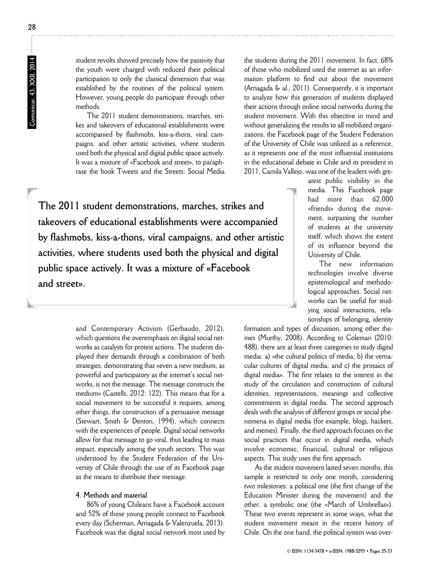student revolts showed precisely how the passivity that the youth were charged with reduced their political participation to only the classical dimension that was established by the routines of the political system. However, young people do participate through other methods.

The 2011 student demonstrations, marches, strikes and takeovers of educational establishments were accompanied by flashmobs, kiss-a-thons, viral campaigns, and other artistic activities, where students used both the physical and digital public space actively. It was a mixture of «Facebook and street», to paraphrase the book Tweets and the Streets: Social Media

the students during the 2011 movement. In fact, 68% of those who mobilized used the internet as an information platform to find out about the movement (Arriagada & al., 2011). Consequently, it is important to analyze how this generation of students displayed their actions through online social networks during the student movement. With this objective in mind and without generalizing the results to all mobilized organizations, the Facebook page of the Student Federation of the University of Chile was utilized as a reference, as it represents one of the most influential institutions in the educational debate in Chile and its president in 2011, Camila Vallejo, was one of the leaders with gre-

**The 2011 student demonstrations, marches, strikes and takeovers of educational establishments were accompanied by flashmobs, kiss-a-thons, viral campaigns, and other artistic activities, where students used both the physical and digital public space actively. It was a mixture of «Facebook and street».**

> and Contemporary Activism (Gerbaudo, 2012), which questions the overemphasis on digital social networks as catalysts for protest actions. The students displayed their demands through a combination of both strategies, demonstrating that «even a new medium, as powerful and participatory as the internet's social networks, is not the message. The message constructs the medium» (Castells, 2012: 122). This means that for a social movement to be successful it requires, among other things, the construction of a persuasive message (Stewart, Smith & Denton, 1994), which connects with the experiences of people. Digital social networks allow for that message to go viral, thus leading to mass impact, especially among the youth sectors. This was understood by the Student Federation of the University of Chile through the use of its Facebook page as the means to distribute their message.

# **4. Methods and material**

86% of young Chileans have a Facebook account and 52% of those young people connect to Facebook every day (Scherman, Arriagada & Valenzuela, 2013). Facebook was the digital social network most used by

atest public visibility in the media. This Facebook page had more than 62,000 «friends» during the movement, surpassing the number of students at the university itself, which shows the extent of its influence beyond the University of Chile.

The new information technologies involve diverse epistemological and methodological approaches. Social networks can be useful for studying social interactions, relationships of belonging, identity

formation and types of discussion, among other themes (Murthy, 2008). According to Coleman (2010: 488), there are at least three categories to study digital media: a) «the cultural politics of media; b) the vernacular cultures of digital media; and c) the prosaics of digital media». The first relates to the interest in the study of the circulation and construction of cultural identities, representations, meanings and collective commitments in digital media. The second approach deals with the analysis of different groups or social phenomena in digital media (for example, blogs, hackers, and memes). Finally, the third approach focuses on the social practices that occur in digital media, which involve economic, financial, cultural or religious aspects. This study uses the first approach.

As the student movement lasted seven months, this sample is restricted to only one month, considering two milestones: a political one (the first change of the Education Minister during the movement) and the other, a symbolic one (the «March of Umbrellas»). These two events represent in some ways, what the student movement meant in the recent history of Chile. On the one hand, the political system was over-

**28**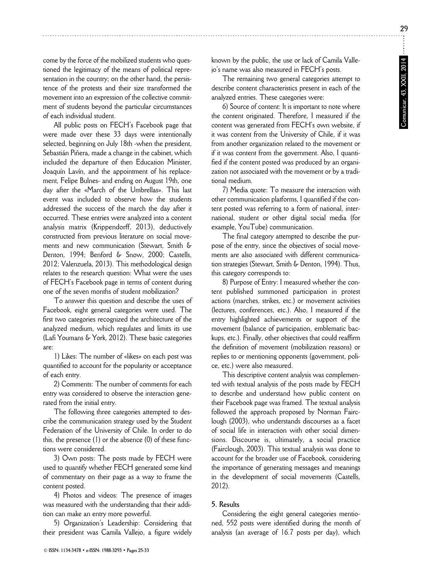come by the force of the mobilized students who questioned the legitimacy of the means of political representation in the country; on the other hand, the persistence of the protests and their size transformed the movement into an expression of the collective commitment of students beyond the particular circumstances of each individual student.

All public posts on FECH's Facebook page that were made over these 33 days were intentionally selected, beginning on July 18th -when the president, Sebastián Piñera, made a change in the cabinet, which included the departure of then Education Minister, Joaquín Lavín, and the appointment of his replacement, Felipe Bulnes- and ending on August 19th, one day after the «March of the Umbrellas». This last event was included to observe how the students addressed the success of the march the day after it occurred. These entries were analyzed into a content analysis matrix (Krippendorff, 2013), deductively constructed from previous literature on social movements and new communication (Stewart, Smith & Denton, 1994; Benford & Snow, 2000; Castells, 2012; Valenzuela, 2013). This methodological design relates to the research question: What were the uses of FECH's Facebook page in terms of content during one of the seven months of student mobilization?

To answer this question and describe the uses of Facebook, eight general categories were used. The first two categories recognized the architecture of the analyzed medium, which regulates and limits its use (Lafi Youmans & York, 2012). These basic categories are:

1) Likes: The number of «likes» on each post was quantified to account for the popularity or acceptance of each entry.

2) Comments: The number of comments for each entry was considered to observe the interaction generated from the initial entry.

The following three categories attempted to describe the communication strategy used by the Student Federation of the University of Chile. In order to do this, the presence  $(1)$  or the absence  $(0)$  of these functions were considered.

3) Own posts: The posts made by FECH were used to quantify whether FECH generated some kind of commentary on their page as a way to frame the content posted.

4) Photos and videos: The presence of images was measured with the understanding that their addition can make an entry more powerful.

5) Organization's Leadership: Considering that their president was Camila Vallejo, a figure widely

© **ISSN: 1134-3478 • e-ISSN: 1988-3293 • Pages 25-33**

known by the public, the use or lack of Camila Vallejo's name was also measured in FECH's posts.

The remaining two general categories attempt to describe content characteristics present in each of the analyzed entries. These categories were:

6) Source of content: It is important to note where the content originated. Therefore, I measured if the content was generated from FECH's own website, if it was content from the University of Chile, if it was from another organization related to the movement or if it was content from the government. Also, I quantified if the content posted was produced by an organization not associated with the movement or by a traditional medium.

7) Media quote: To measure the interaction with other communication platforms, I quantified if the content posted was referring to a form of national, international, student or other digital social media (for example, YouTube) communication.

The final category attempted to describe the purpose of the entry, since the objectives of social movements are also associated with different communication strategies (Stewart, Smith & Denton, 1994). Thus, this category corresponds to:

8) Purpose of Entry: I measured whether the content published summoned participation in protest actions (marches, strikes, etc.) or movement activities (lectures, conferences, etc.). Also, I measured if the entry highlighted achievements or support of the movement (balance of participation, emblematic backups, etc.). Finally, other objectives that could reaffirm the definition of movement (mobilization reasons) or replies to or mentioning opponents (government, police, etc.) were also measured.

This descriptive content analysis was complemented with textual analysis of the posts made by FECH to describe and understand how public content on their Facebook page was framed. The textual analysis followed the approach proposed by Norman Fairclough (2003), who understands discourses as a facet of social life in interaction with other social dimensions. Discourse is, ultimately, a social practice (Fairclough, 2003). This textual analysis was done to account for the broader use of Facebook, considering the importance of generating messages and meanings in the development of social movements (Castells, 2012).

### **5. Results**

Considering the eight general categories mentioned, 552 posts were identified during the month of analysis (an average of 16.7 posts per day), which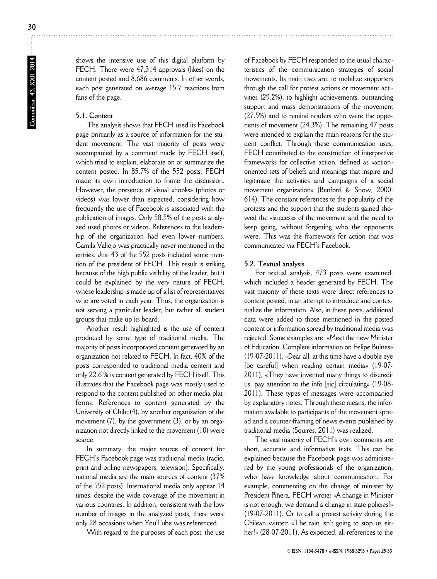shows the intensive use of this digital platform by FECH. There were 47,314 approvals (likes) on the content posted and 8,686 comments. In other words, each post generated on average 15.7 reactions from fans of the page.

## **5.1. Content**

The analysis shows that FECH used its Facebook page primarily as a source of information for the student movement. The vast majority of posts were accompanied by a comment made by FECH itself, which tried to explain, elaborate on or summarize the content posted. In 85.7% of the 552 posts, FECH made its own introduction to frame the discussion. However, the presence of visual «hooks» (photos or videos) was lower than expected, considering how frequently the use of Facebook is associated with the publication of images. Only 58.5% of the posts analyzed used photos or videos. References to the leadership of the organization had even lower numbers. Camila Vallejo was practically never mentioned in the entries. Just 43 of the 552 posts included some mention of the president of FECH. This result is striking because of the high public visibility of the leader, but it could be explained by the very nature of FECH, whose leadership is made up of a list of representatives who are voted in each year. Thus, the organization is not serving a particular leader, but rather all student groups that make up its board.

Another result highlighted is the use of content produced by some type of traditional media. The majority of posts incorporated content generated by an organization not related to FECH. In fact, 40% of the posts corresponded to traditional media content and only 22.6 % is content generated by FECH itself. This illustrates that the Facebook page was mostly used to respond to the content published on other media platforms. References to content generated by the University of Chile (4), by another organization of the movement (7), by the government (3), or by an organization not directly linked to the movement (10) were scarce.

In summary, the major source of content for FECH's Facebook page was traditional media (radio, print and online newspapers, television). Specifically, national media are the main sources of content (37% of the 552 posts). International media only appear 14 times, despite the wide coverage of the movement in various countries. In addition, consistent with the low number of images in the analyzed posts, there were only 28 occasions when YouTube was referenced.

With regard to the purposes of each post, the use

of Facebook by FECH responded to the usual characteristics of the communication strategies of social movements. Its main uses are: to mobilize supporters through the call for protest actions or movement activities (29.2%), to highlight achievements, outstanding support and mass demonstrations of the movement (27.5%) and to remind readers who were the opponents of movement (24.3%). The remaining 47 posts were intended to explain the main reasons for the student conflict. Through these communication uses, FECH contributed to the construction of interpretive frameworks for collective action, defined as «actionoriented sets of beliefs and meanings that inspire and legitimate the activities and campaigns of a social movement organization» (Benford & Snow, 2000: 614). The constant references to the popularity of the protests and the support that the students gained showed the «success» of the movement and the need to keep going, without forgetting who the opponents were. This was the framework for action that was communicated via FECH's Facebook.

### **5.2. Textual analysis**

For textual analysis, 473 posts were examined, which included a header generated by FECH. The vast majority of these texts were direct references to content posted, in an attempt to introduce and contextualize the information. Also, in these posts, additional data were added to those mentioned in the posted content or information spread by traditional media was rejected. Some examples are: «Meet the new Minister of Education. Complete information on Felipe Bulnes» (19-07-2011), «Dear all, at this time have a double eye [be careful] when reading certain media» (19-07- 2011), «They have invented many things to discredit us, pay attention to the info [sic] circulating» (19-08- 2011). These types of messages were accompanied by explanatory notes. Through these means, the information available to participants of the movement spread and a counter-framing of news events published by traditional media (Squires, 2011) was realized.

The vast majority of FECH's own comments are short, accurate and informative texts. This can be explained because the Facebook page was administered by the young professionals of the organization, who have knowledge about communication. For example, commenting on the change of minister by President Piñera, FECH wrote: «A change in Minister is not enough, we demand a change in state policies!» (19-07-2011). Or to call a protest activity during the Chilean winter: «The rain isn't going to stop us either!» (28-07-2011). As expected, all references to the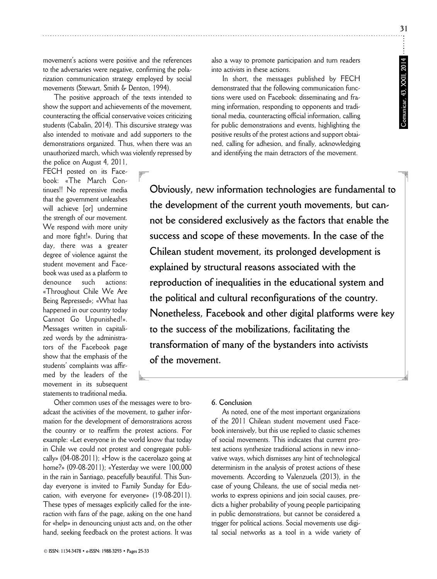**31**

movement's actions were positive and the references to the adversaries were negative, confirming the polarization communication strategy employed by social movements (Stewart, Smith & Denton, 1994).

The positive approach of the texts intended to show the support and achievements of the movement, counteracting the official conservative voices criticizing students (Cabalin, 2014). This discursive strategy was also intended to motivate and add supporters to the demonstrations organized. Thus, when there was an unauthorized march, which was violently repressed by

the police on August 4, 2011, FECH posted on its Facebook: «The March Continues!! No repressive media that the government unleashes will achieve [or] undermine the strength of our movement. We respond with more unity and more fight!». During that day, there was a greater degree of violence against the student movement and Facebook was used as a platform to denounce such actions: «Throughout Chile We Are Being Repressed»; «What has happened in our country today Cannot Go Unpunished!». Messages written in capitalized words by the administrators of the Facebook page show that the emphasis of the students' complaints was affirmed by the leaders of the movement in its subsequent statements to traditional media.

also a way to promote participation and turn readers into activists in these actions.

In short, the messages published by FECH demonstrated that the following communication functions were used on Facebook: disseminating and framing information, responding to opponents and traditional media, counteracting official information, calling for public demonstrations and events, highlighting the positive results of the protest actions and support obtained, calling for adhesion, and finally, acknowledging and identifying the main detractors of the movement.

**Obviously, new information technologies are fundamental to the development of the current youth movements, but cannot be considered exclusively as the factors that enable the success and scope of these movements. In the case of the Chilean student movement, its prolonged development is explained by structural reasons associated with the reproduction of inequalities in the educational system and the political and cultural reconfigurations of the country. Nonetheless, Facebook and other digital platforms were key to the success of the mobilizations, facilitating the transformation of many of the bystanders into activists of the movement.**

Other common uses of the messages were to broadcast the activities of the movement, to gather information for the development of demonstrations across the country or to reaffirm the protest actions. For example: «Let everyone in the world know that today in Chile we could not protest and congregate publically» (04-08-2011); «How is the cacerolazo going at home?» (09-08-2011); «Yesterday we were 100,000 in the rain in Santiago, peacefully beautiful. This Sunday everyone is invited to Family Sunday for Education, with everyone for everyone» (19-08-2011). These types of messages explicitly called for the interaction with fans of the page, asking on the one hand for «help» in denouncing unjust acts and, on the other hand, seeking feedback on the protest actions. It was

# **6. Conclusion**

As noted, one of the most important organizations of the 2011 Chilean student movement used Facebook intensively, but this use replied to classic schemes of social movements. This indicates that current protest actions synthesize traditional actions in new innovative ways, which dismisses any hint of technological determinism in the analysis of protest actions of these movements. According to Valenzuela (2013), in the case of young Chileans, the use of social media networks to express opinions and join social causes, predicts a higher probability of young people participating in public demonstrations, but cannot be considered a trigger for political actions. Social movements use digital social networks as a tool in a wide variety of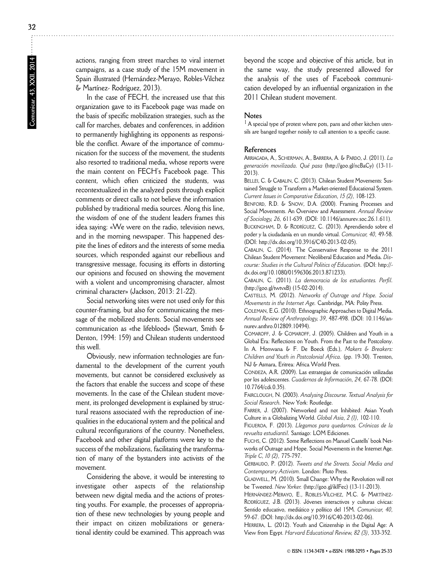actions, ranging from street marches to viral internet campaigns, as a case study of the 15M movement in Spain illustrated (Hernández-Merayo, Robles-Vilchez & Martínez- Rodríguez, 2013).

In the case of FECH, the increased use that this organization gave to its Facebook page was made on the basis of specific mobilization strategies, such as the call for marches, debates and conferences, in addition to permanently highlighting its opponents as responsible the conflict. Aware of the importance of communication for the success of the movement, the students also resorted to traditional media, whose reports were the main content on FECH's Facebook page. This content, which often criticized the students, was recontextualized in the analyzed posts through explicit comments or direct calls to not believe the information published by traditional media sources. Along this line, the wisdom of one of the student leaders frames this idea saying: «We were on the radio, television news, and in the morning newspaper. This happened despite the lines of editors and the interests of some media sources, which responded against our rebellious and transgressive message, focusing its efforts in distorting our opinions and focused on showing the movement with a violent and uncompromising character, almost criminal character» (Jackson, 2013: 21-22).

Social networking sites were not used only for this counter-framing, but also for communicating the message of the mobilized students. Social movements see communication as «the lifeblood» (Stewart, Smith & Denton, 1994: 159) and Chilean students understood this well.

Obviously, new information technologies are fundamental to the development of the current youth movements, but cannot be considered exclusively as the factors that enable the success and scope of these movements. In the case of the Chilean student movement, its prolonged development is explained by structural reasons associated with the reproduction of inequalities in the educational system and the political and cultural reconfigurations of the country. Nonetheless, Facebook and other digital platforms were key to the success of the mobilizations, facilitating the transformation of many of the bystanders into activists of the movement.

Considering the above, it would be interesting to investigate other aspects of the relationship between new digital media and the actions of protesting youths. For example, the processes of appropriation of these new technologies by young people and their impact on citizen mobilizations or generational identity could be examined. This approach was beyond the scope and objective of this article, but in the same way, the study presented allowed for the analysis of the uses of Facebook communication developed by an influential organization in the 2011 Chilean student movement.

### **Notes**

 $<sup>1</sup>$  A special type of protest where pots, pans and other kitchen uten-</sup> sils are banged together noisily to call attention to a specific cause.

# **References**

ARRIAGADA, A., SCHERMAN, A., BARRERA, A. & PARDO, J. (2011). *La generación movilizada. Qué pasa* (http://goo.gl/ncBaCy) (13-11- 2013).

BELLEI, C. & CABALIN, C. (2013). Chilean Student Movements: Sustained Struggle to Transform a Market-oriented Educational System. *Current Issues in Comparative Education, 15 (2),* 108-123.

BENFORD, R.D. & SNOW, D.A. (2000). Framing Processes and Social Movements. An Overview and Assessment. *Annual Review of Sociology, 26,* 611-639. (DOI: 10.1146/annurev.soc.26.1.611). BUCKINGHAM, D. & RODRÍGUEZ, C. (2013). Aprendiendo sobre el

poder y la ciudadanía en un mundo virtual. *Comunicar, 40,* 49-58. (DOI: http://dx.doi.org/10.3916/C40-2013-02-05).

CABALIN, C. (2014). The Conservative Response to the 2011 Chilean Student Movement: Neoliberal Education and Media. *Dis course: Studies in the Cultural Politics of Education.* (DOI: http:// dx.doi.org/10.1080/01596306.2013.871233).

CABALIN, C. (2011). *La democracia de los estudiantes. Perfil.* (http://goo.gl/twtvxB) (15-02-2014).

CASTELLS, M. (2012). *Networks of Outrage and Hope. Social Movements in the Internet Age.* Cambridge, MA: Polity Press.

COLEMAN, E.G. (2010). Ethnographic Approaches to Digital Media. *Annual Review of Anthropology, 39,* 487-498. (DOI: 10.1146/an nurev.anthro.012809.10494).

COMAROFF, J. & COMAROFF, J. (2005). Children and Youth in a Global Era: Reflections on Youth. From the Past to the Postcolony. In A. Honwana & F. De Boeck (Eds.), *Makers & Breakers: Children and Youth in Postcolonial Africa.* (pp. 19-30). Trenton, NJ & Asmara, Eritrea: Africa World Press.

CONDEZA, A.R. (2009). Las estrategias de comunicación utilizadas por los adolescentes. *Cuadernos de Información, 24,* 67-78. (DOI: 10.7764/cdi.0.35).

FAIRCLOUGH, N. (2003). *Analysing Discourse. Textual Analysis for Social Research.* New York: Routledge.

FARRER, J. (2007). Networked and not Inhibited: Asian Youth Culture in a Globalizing World. *Global Asia, 2 (1),* 102-110.

FIGUEROA, F. (2013). *Llegamos para quedarnos. Crónicas de la revuelta estudiantil.* Santiago: LOM Ediciones.

FUCHS, C. (2012). Some Reflections on Manuel Castells' book Networks of Outrage and Hope. Social Movements in the Internet Age. *Triple C, 10 (2),* 775-797.

GERBAUDO, P. (2012). *Tweets and the Streets. Social Media and Contemporary Activism*. London: Pluto Press.

GLADWELL, M. (2010). Small Change: Why the Revolution will not be Tweeted. *New Yorker.* (http://goo.gl/ikIFec) (13-11-2013).

HERNÁNDEZ-MERAYO, E., ROBLES-VÍLCHEZ, M.C. & MARTÍNEZ-RODRÍGUEZ, J.B. (2013). Jóvenes interactivos y culturas cívicas: Sentido educativo, mediático y político del 15M. *Comunicar, 40,* 59-67. (DOI: http://dx.doi.org/10.3916/C40-2013-02-06).

HERRERA, L. (2012). Youth and Citizenship in the Digital Age: A View from Egypt. *Harvard Educational Review, 82 (3),* 333-352.